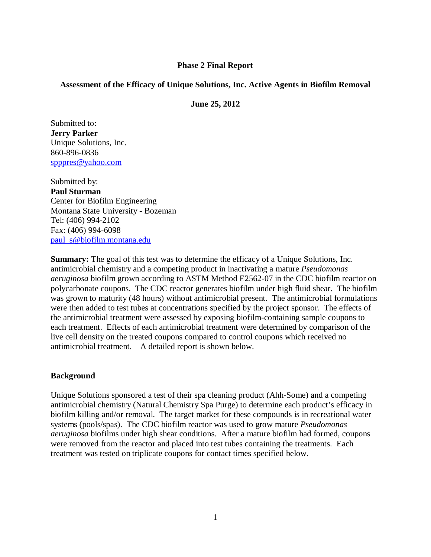## **Phase 2 Final Report**

## **Assessment of the Efficacy of Unique Solutions, Inc. Active Agents in Biofilm Removal**

**June 25, 2012**

Submitted to: **Jerry Parker** Unique Solutions, Inc. 860-896-0836 [spppres@yahoo.com](mailto:spppres@yahoo.com)

Submitted by: **Paul Sturman** Center for Biofilm Engineering Montana State University - Bozeman Tel: (406) 994-2102 Fax: (406) 994-6098 [paul\\_s@biofilm.montana.edu](mailto:paul_s@biofilm.montana.edu)

**Summary:** The goal of this test was to determine the efficacy of a Unique Solutions, Inc. antimicrobial chemistry and a competing product in inactivating a mature *Pseudomonas aeruginosa* biofilm grown according to ASTM Method E2562-07 in the CDC biofilm reactor on polycarbonate coupons. The CDC reactor generates biofilm under high fluid shear. The biofilm was grown to maturity (48 hours) without antimicrobial present. The antimicrobial formulations were then added to test tubes at concentrations specified by the project sponsor. The effects of the antimicrobial treatment were assessed by exposing biofilm-containing sample coupons to each treatment. Effects of each antimicrobial treatment were determined by comparison of the live cell density on the treated coupons compared to control coupons which received no antimicrobial treatment. A detailed report is shown below.

#### **Background**

Unique Solutions sponsored a test of their spa cleaning product (Ahh-Some) and a competing antimicrobial chemistry (Natural Chemistry Spa Purge) to determine each product's efficacy in biofilm killing and/or removal. The target market for these compounds is in recreational water systems (pools/spas). The CDC biofilm reactor was used to grow mature *Pseudomonas aeruginosa* biofilms under high shear conditions. After a mature biofilm had formed, coupons were removed from the reactor and placed into test tubes containing the treatments. Each treatment was tested on triplicate coupons for contact times specified below.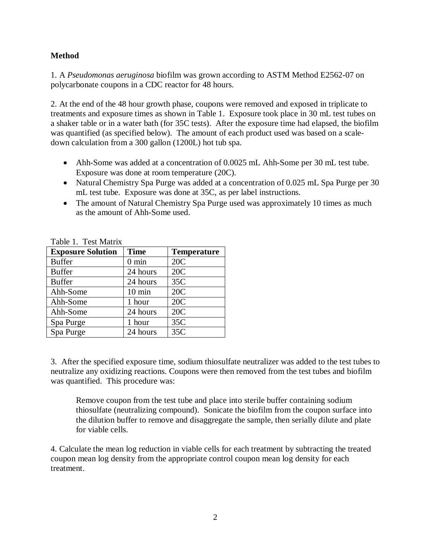# **Method**

1. A *Pseudomonas aeruginosa* biofilm was grown according to ASTM Method E2562-07 on polycarbonate coupons in a CDC reactor for 48 hours.

2. At the end of the 48 hour growth phase, coupons were removed and exposed in triplicate to treatments and exposure times as shown in Table 1. Exposure took place in 30 mL test tubes on a shaker table or in a water bath (for 35C tests). After the exposure time had elapsed, the biofilm was quantified (as specified below). The amount of each product used was based on a scaledown calculation from a 300 gallon (1200L) hot tub spa.

- Ahh-Some was added at a concentration of 0.0025 mL Ahh-Some per 30 mL test tube. Exposure was done at room temperature (20C).
- Natural Chemistry Spa Purge was added at a concentration of 0.025 mL Spa Purge per 30 mL test tube. Exposure was done at 35C, as per label instructions.
- The amount of Natural Chemistry Spa Purge used was approximately 10 times as much as the amount of Ahh-Some used.

| <b>Exposure Solution</b> | <b>Time</b>      | <b>Temperature</b> |
|--------------------------|------------------|--------------------|
| <b>Buffer</b>            | $0 \text{ min}$  | 20C                |
| <b>Buffer</b>            | 24 hours         | 20C                |
| <b>Buffer</b>            | 24 hours         | 35C                |
| Ahh-Some                 | $10 \text{ min}$ | 20C                |
| Ahh-Some                 | 1 hour           | 20C                |
| Ahh-Some                 | 24 hours         | 20C                |
| Spa Purge                | 1 hour           | 35C                |
| Spa Purge                | 24 hours         | 35C                |

Table 1. Test Matrix

3. After the specified exposure time, sodium thiosulfate neutralizer was added to the test tubes to neutralize any oxidizing reactions. Coupons were then removed from the test tubes and biofilm was quantified. This procedure was:

Remove coupon from the test tube and place into sterile buffer containing sodium thiosulfate (neutralizing compound). Sonicate the biofilm from the coupon surface into the dilution buffer to remove and disaggregate the sample, then serially dilute and plate for viable cells.

4. Calculate the mean log reduction in viable cells for each treatment by subtracting the treated coupon mean log density from the appropriate control coupon mean log density for each treatment.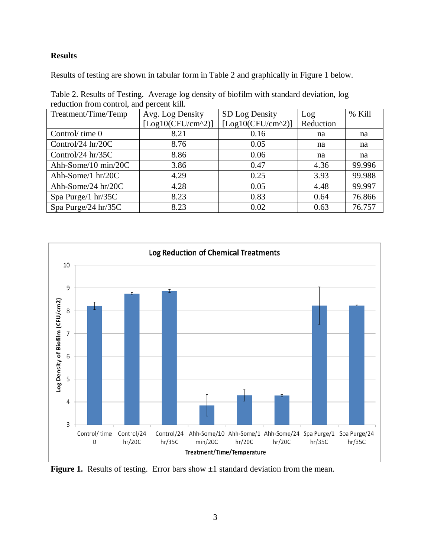# **Results**

Results of testing are shown in tabular form in Table 2 and graphically in Figure 1 below.

| Table 2. Results of Testing. Average log density of biofilm with standard deviation, log |  |  |  |  |
|------------------------------------------------------------------------------------------|--|--|--|--|
| reduction from control, and percent kill.                                                |  |  |  |  |

| Treatment/Time/Temp | Avg. Log Density    | SD Log Density      | Log       | % Kill |
|---------------------|---------------------|---------------------|-----------|--------|
|                     | $[Log10(CFU/cm^2)]$ | $[Log10(CFU/cm^2)]$ | Reduction |        |
| Control/time 0      | 8.21                | 0.16                | na        | na     |
| Control/24 hr/20C   | 8.76                | 0.05                | na        | na     |
| Control/24 hr/35C   | 8.86                | 0.06                | na        | na     |
| Ahh-Some/10 min/20C | 3.86                | 0.47                | 4.36      | 99.996 |
| Ahh-Some/1 hr/20C   | 4.29                | 0.25                | 3.93      | 99.988 |
| Ahh-Some/24 hr/20C  | 4.28                | 0.05                | 4.48      | 99.997 |
| Spa Purge/1 hr/35C  | 8.23                | 0.83                | 0.64      | 76.866 |
| Spa Purge/24 hr/35C | 8.23                | 0.02                | 0.63      | 76.757 |



**Figure 1.** Results of testing. Error bars show  $\pm 1$  standard deviation from the mean.